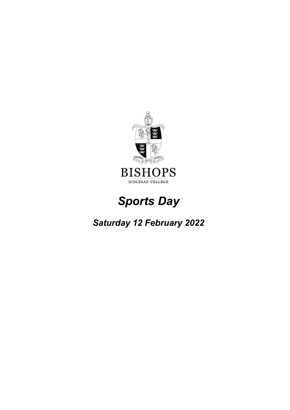

# *Sports Day*

# *Saturday 12 February 2022*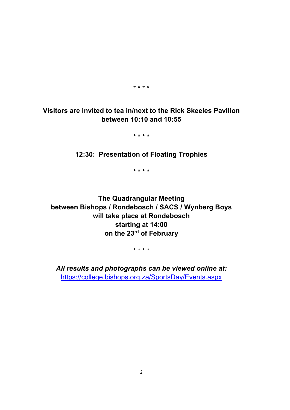\* \* \* \*

# **Visitors are invited to tea in/next to the Rick Skeeles Pavilion between 10:10 and 10:55**

**\* \* \* \***

**12:30: Presentation of Floating Trophies**

**\* \* \* \***

**The Quadrangular Meeting between Bishops / Rondebosch / SACS / Wynberg Boys will take place at Rondebosch starting at 14:00 on the 23rd of February**

\* \* \* \*

*All results and photographs can be viewed online at:* <https://college.bishops.org.za/SportsDay/Events.aspx>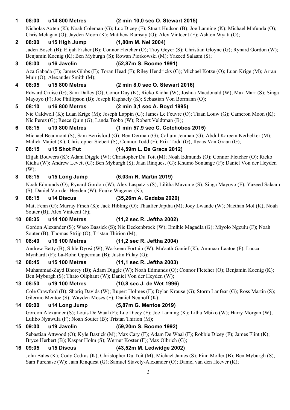#### **1 08:00 u14 800 Metres (2 min 10,0 sec O. Stewart 2015)**

Nicholas Axten (K); Noah Coleman (G); Luc Dicey (F); Stuart Hudson (B); Joe Lanning (K); Michael Mafunda (O); Chris Mclagan (O); Jayden Moon (K); Matthew Ramsay (O); Alex Vintcent (F); Ashton Wyatt (O);

#### **2 08:00 u15 High Jump (1,80m M. Nel 2004)**

Jaden Bosch (B); Elijah Fisher (B); Connor Fletcher (O); Troy Geyer (S); Christian Gloyne (G); Rynard Gordon (W); Benjamin Koenig (K); Ben Myburgh (S); Rowan Piorkowski (M); Yazeed Salaam (S);

#### **3 08:00 u16 Javelin (52,87m S. Boome 1991)**

Aza Gabada (F); James Gibbs (F); Toran Head (F); Riley Hendricks (G); Michael Kotze (O); Luan Krige (M); Arran Muir (O); Alexander Smith (M);

#### **4 08:05 u15 800 Metres (2 min 8,0 sec O. Stewart 2016)**

Edward Cruise (G); Sam Dalley (O); Conor Day (K); Rieko Kidha (W); Joshua Macdonald (W); Max Marr (S); Singa Mayoyo (F); Joe Phillipson (B); Joseph Raphaely (K); Sebastian Von Bormann (O);

#### **5 08:10 u16 800 Metres (2 min 3,1 sec A. Boyd 1995)**

Nic Caldwell (K); Luan Krige (M); Joseph Lappin (G); James Le Feuvre (O); Tiaan Louw (G); Cameron Moon (K); Nic Perez (G); Reece Quin (G); Landa Tsobo (W); Robert Veldtman (B);

#### **6 08:15 u19 800 Metres (1 min 57,9 sec C. Cotchobos 2015)**

Michael Beaumont (S); Sam Berrisford (G); Ben Derman (G); Callum Jenman (G); Abdul Kareem Kerbelker (M); Malick Majiet (K); Christopher Siebert (S); Connor Todd (F); Erik Todd (G); Ilyaas Van Graan (G);

#### **7 08:15 u15 Shot Put (14,59m L. Da Graca 2012)**

Elijah Bouwers (K); Adam Diggle (W); Christopher Du Toit (M); Noah Edmunds (O); Connor Fletcher (O); Rieko Kidha (W); Andrew Levett (G); Ben Myburgh (S); Jaan Rinquest (G); Khumo Sontange (F); Daniel Von der Heyden  $(W)$ :

#### **8 08:15 u15 Long Jump (6,03m R. Martin 2019)**

Noah Edmunds (O); Rynard Gordon (W); Alex Laspatzis (S); Lilitha Mavume (S); Singa Mayoyo (F); Yazeed Salaam (S); Daniel Von der Heyden (W); Fouke Wagener (K);

#### **9 08:15 u14 Discus (35,26m A. Gadaba 2020)**

Matt Fenn (G); Murray Finch (K); Jack Hibling (O); Thaafier Japtha (M); Joey Lwande (W); Naethan Mol (K); Noah Souter (B); Alex Vintcent (F);

#### **10 08:35 u14 100 Metres (11,2 sec R. Jeftha 2002)**

Gordon Alexander (S); Waco Bassick (S); Nic Deckenbrock (W); Emihle Magadla (G); Miyolo Ngculu (F); Noah Souter (B); Thomas Strijp (O); Tristan Thirion (M);

#### **11 08:40 u16 100 Metres (11,2 sec R. Jeftha 2004)**

Andrew Betty (B); Sihle Dyosi (W); Wa-keem Fortuin (W); Mu'aath Ganief (K); Ammaar Laatoe (F); Lucca Mynhardt (F); La-Rohn Opperman (B); Justin Pillay (G);

#### **12 08:45 u15 100 Metres (11,1 sec R. Jeftha 2003)**

Muhammad-Zayd Bhorey (B); Adam Diggle (W); Noah Edmunds (O); Connor Fletcher (O); Benjamin Koenig (K); Ben Myburgh (S); Thato Oliphant (W); Daniel Von der Heyden (W);

#### **13 08:50 u19 100 Metres (10,8 sec J. de Wet 1996)**

Cole Crawford (B); Shariq Davids (W); Rupert Holmes (F); Dylan Krause (G); Storm Lanfear (G); Ross Martin (S); Gilermo Mentoe (S); Wayden Moses (F); Daniel Neuhoff (K);

#### **14 09:00 u14 Long Jump (5,87m G. Mentoe 2019)**

Gordon Alexander (S); Louis De Waal (F); Luc Dicey (F); Joe Lanning (K); Litha Mbiko (W); Harry Morgan (W); Lulibo Nyawula (F); Noah Souter (B); Tristan Thirion (M);

#### **15 09:00 u19 Javelin (59,20m S. Boome 1992)**

Sebastian Attwood (O); Kyle Bastick (M); Max Cary (F); Adam De Waal (F); Robbie Dicey (F); James Flint (K); Bryce Herbert (B); Kaspar Holm (S); Werner Koster (F); Max Olbrich (G);

#### **16 09:05 u15 Discus (43,52m M. Ledwidge 2002)**

John Bales (K); Cody Cedras (K); Christopher Du Toit (M); Michael James (S); Finn Moller (B); Ben Myburgh (S); Sam Purchase (W); Jaan Rinquest (G); Samuel Stavely-Alexander (O); Daniel van den Heever (K);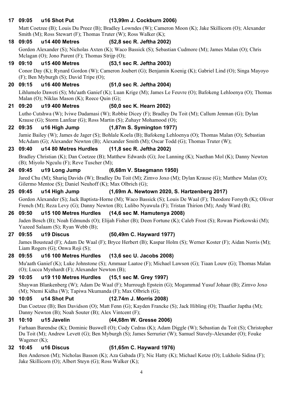#### **17 09:05 u16 Shot Put (13,99m J. Cockburn 2006)**

Matt Coetzee (B); Louis Du Preez (B); Bradley Lowndes (W); Cameron Moon (K); Jake Skillicorn (O); Alexander Smith (M); Ross Stewart (F); Thomas Truter (W); Ross Walker (K);

#### **18 09:05 u14 400 Metres (52,8 sec R. Jeftha 2002)**

Gordon Alexander (S); Nicholas Axten (K); Waco Bassick (S); Sebastian Cudmore (M); James Malan (O); Chris Mclagan (O); Jono Parent (F); Thomas Strijp (O);

### **19 09:10 u15 400 Metres (53,1 sec R. Jeftha 2003)**

Conor Day (K); Rynard Gordon (W); Cameron Joubert (G); Benjamin Koenig (K); Gabriel Lind (O); Singa Mayoyo (F); Ben Myburgh (S); David Tripe (O);

#### **20 09:15 u16 400 Metres (51,0 sec R. Jeftha 2004)**

Lihlumelo Daweti (S); Mu'aath Ganief (K); Luan Krige (M); James Le Feuvre (O); Bafokeng Lehloenya (O); Thomas Malan (O); Niklas Mason (K); Reece Quin (G);

#### **21 09:20 u19 400 Metres (50,0 sec K. Hearn 2002)**

Lutho Cutshwa (W); Iviwe Dadamasi (W); Robbie Dicey (F); Bradley Du Toit (M); Callum Jenman (G); Dylan Krause (G); Storm Lanfear (G); Ross Martin (S); Zuhayr Mohamood (O);

#### **22 09:35 u16 High Jump (1,87m S. Symington 1977)**

Jamie Bailey (W); James de Jager (S); Bohlale Koela (B); Bafokeng Lehloenya (O); Thomas Malan (O); Sebastian McAdam (G); Alexander Newton (B); Alexander Smith (M); Oscar Todd (G); Thomas Truter (W);

#### **23 09:40 u14 80 Metres Hurdles (11,8 sec R. Jeftha 2002)**

Bradley Christian (K); Dan Coetzee (B); Matthew Edwards (G); Joe Lanning (K); Naethan Mol (K); Danny Newton (B); Miyolo Ngculu (F); Reve Tuscher (M);

#### **24 09:45 u19 Long Jump (6,68m V. Staegmann 1950)**

Jared Chu (M); Shariq Davids (W); Bradley Du Toit (M); Zimvo Joxo (M); Dylan Krause (G); Matthew Malan (O); Gilermo Mentoe (S); Daniel Neuhoff (K); Max Olbrich (G);

#### **25 09:45 u14 High Jump (1,69m A. Newtown 2020, S. Hartzenberg 2017)**

Gordon Alexander (S); Jack Baptista-Horne (M); Waco Bassick (S); Louis De Waal (F); Theodore Forsyth (K); Oliver French (M); Reza Levy (G); Danny Newton (B); Lulibo Nyawula (F); Tristan Thirion (M); Andy Ward (B);

#### **26 09:50 u15 100 Metres Hurdles (14,6 sec M. Hamutenya 2008)**

Jaden Bosch (B); Noah Edmunds (O); Elijah Fisher (B); Deen Fortune (K); Caleb Frost (S); Rowan Piorkowski (M); Yazeed Salaam (S); Ryan Webb (B);

#### **27 09:55 u19 Discus (50,49m C. Hayward 1977)**

James Boustead (F); Adam De Waal (F); Bryce Herbert (B); Kaspar Holm (S); Werner Koster (F); Aidan Norris (M); Liam Rogers (G); Onwa Roji (S);

#### **28 09:55 u16 100 Metres Hurdles (13,6 sec U. Jacobs 2008)**

Mu'aath Ganief (K); Luke Johnstone (S); Ammaar Laatoe (F); Michael Lawson (G); Tiaan Louw (G); Thomas Malan (O); Lucca Mynhardt (F); Alexander Newton (B);

#### **29 10:05 u19 110 Metres Hurdles (15,1 sec M. Grey 1997)**

Shaywan Blankenberg (W); Adam De Waal (F); Murrough Epstein (G); Mogammad Yusuf Johaar (B); Zimvo Joxo (M); Ntemi Kidha (W); Tapiwa Nkumanda (F); Max Olbrich (G);

#### **30 10:05 u14 Shot Put (12.74m J. Morris 2008)**

Dan Coetzee (B); Ben Davidson (O); Matt Fenn (G); Kayden Francke (S); Jack Hibling (O); Thaafier Japtha (M); Danny Newton (B); Noah Souter (B); Alex Vintcent (F);

#### **31 10:10 u15 Javelin (44,68m W. Gresse 2006)**

Farhaan Barendse (K); Dominic Buswell (O); Cody Cedras (K); Adam Diggle (W); Sebastian du Toit (S); Christopher Du Toit (M); Andrew Levett (G); Ben Myburgh (S); James Serrurier (W); Samuel Stavely-Alexander (O); Fouke Wagener (K);

#### **32 10:45 u16 Discus (51,65m C. Hayward 1976)**

Ben Anderson (M); Nicholas Basson (K); Aza Gabada (F); Nic Hatty (K); Michael Kotze (O); Lukholo Sidina (F); Jake Skillicorn (O); Albert Steyn (G); Ross Walker (K);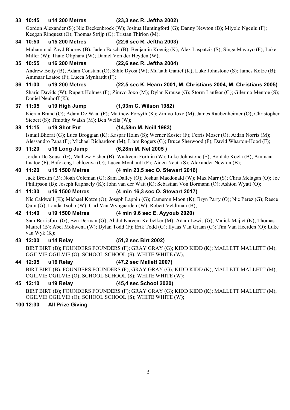**33 10:45 u14 200 Metres (23,3 sec R. Jeftha 2002)**

Gordon Alexander (S); Nic Deckenbrock (W); Joshua Huntingford (G); Danny Newton (B); Miyolo Ngculu (F); Keegan Rinquest (O); Thomas Strijp (O); Tristan Thirion (M);

### **34 10:50 u15 200 Metres (22,6 sec R. Jeftha 2003)**

Muhammad-Zayd Bhorey (B); Jaden Bosch (B); Benjamin Koenig (K); Alex Laspatzis (S); Singa Mayoyo (F); Luke Miller (W); Thato Oliphant (W); Daniel Von der Heyden (W);

**35 10:55 u16 200 Metres (22,6 sec R. Jeftha 2004)**

Andrew Betty (B); Adam Constant (O); Sihle Dyosi (W); Mu'aath Ganief (K); Luke Johnstone (S); James Kotze (B); Ammaar Laatoe (F); Lucca Mynhardt (F);

# **36 11:00 u19 200 Metres (22,5 sec K. Hearn 2001, M. Christians 2004, M. Christians 2005)**

Shariq Davids (W); Rupert Holmes (F); Zimvo Joxo (M); Dylan Krause (G); Storm Lanfear (G); Gilermo Mentoe (S); Daniel Neuhoff (K);

# **37 11:05 u19 High Jump (1,93m C. Wilson 1982)**

Kieran Brand (O); Adam De Waal (F); Matthew Forsyth (K); Zimvo Joxo (M); James Raubenheimer (O); Christopher Siebert (S); Timothy Walsh (M); Ben Wells (W);

# **38 11:15 u19 Shot Put (14,58m M. Neill 1983)**

Ismail Bhorat (G); Luca Broggian (K); Kaspar Holm (S); Werner Koster (F); Ferris Moser (O); Aidan Norris (M); Alessandro Papa (F); Michael Richardson (M); Liam Rogers (G); Bruce Sherwood (F); David Wharton-Hood (F);

# **39 11:20 u16 Long Jump (6,28m M. Nel 2005 )**

Jordan De Sousa (G); Mathew Fisher (B); Wa-keem Fortuin (W); Luke Johnstone (S); Bohlale Koela (B); Ammaar Laatoe (F); Bafokeng Lehloenya (O); Lucca Mynhardt (F); Aiden Neutt (S); Alexander Newton (B);

# **40 11:20 u15 1500 Metres (4 min 23,5 sec O. Stewart 2016)**

Jack Breslin (B); Noah Coleman (G); Sam Dalley (O); Joshua Macdonald (W); Max Marr (S); Chris Mclagan (O); Joe Phillipson (B); Joseph Raphaely (K); John van der Watt (K); Sebastian Von Bormann (O); Ashton Wyatt (O);

# **41 11:30 u16 1500 Metres (4 min 16,3 sec O. Stewart 2017)**

Nic Caldwell (K); Michael Kotze (O); Joseph Lappin (G); Cameron Moon (K); Bryn Parry (O); Nic Perez (G); Reece Quin (G); Landa Tsobo (W); Carl Van Wyngaarden (W); Robert Veldtman (B);

# **42 11:40 u19 1500 Metres (4 min 9,6 sec E. Ayyoub 2020)**

Sam Berrisford (G); Ben Derman (G); Abdul Kareem Kerbelker (M); Adam Lewis (G); Malick Majiet (K); Thomas Maurel (B); Abel Mokwena (W); Dylan Todd (F); Erik Todd (G); Ilyaas Van Graan (G); Tim Van Heerden (O); Luke van Wyk (K);

# **43 12:00 u14 Relay (51,2 sec Birt 2002)**

BIRT BIRT (B); FOUNDERS FOUNDERS (F); GRAY GRAY (G); KIDD KIDD (K); MALLETT MALLETT (M); OGILVIE OGILVIE (O); SCHOOL SCHOOL (S); WHITE WHITE (W);

# **44 12:05 u16 Relay (47.2 sec Mallett 2007)**

BIRT BIRT (B); FOUNDERS FOUNDERS (F); GRAY GRAY (G); KIDD KIDD (K); MALLETT MALLETT (M); OGILVIE OGILVIE (O); SCHOOL SCHOOL (S); WHITE WHITE (W);

# **45 12:10 u19 Relay (45,4 sec School 2020)**

BIRT BIRT (B); FOUNDERS FOUNDERS (F); GRAY GRAY (G); KIDD KIDD (K); MALLETT MALLETT (M); OGILVIE OGILVIE (O); SCHOOL SCHOOL (S); WHITE WHITE (W);

# **100 12:30 All Prize Giving**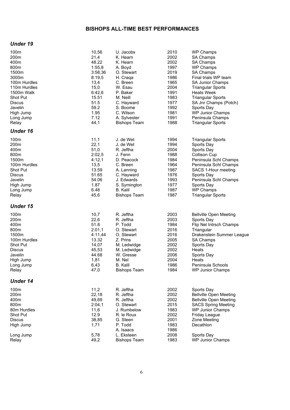#### **BISHOPS ALL-TIME BEST PERFORMANCES**

#### *Under 19*

| 100m<br>200m<br>400m<br>800m<br>1500m<br>3000m<br>100m Hurdles<br>110m Hurdles<br>1500m Walk<br>Shot Put<br><b>Discus</b><br>Javelin<br>High Jump<br>Long Jump<br>Relay | 10,56<br>21,4<br>48.22<br>1:55,8<br>3:58,36<br>8:19,5<br>13,4<br>15,0<br>6:42,6<br>15.51<br>51.5<br>59.2<br>1.95<br>7.12<br>44,1 | U. Jacobs<br>K. Hearn<br>K. Hearn<br>A. Boyd<br>O. Stewart<br>H. Craqa<br>C. Breen<br>W. Esau<br>P. Baker<br>M. Neill<br>C. Hayward<br>S. Boome<br>C. Wilson<br>A. Sylvester<br><b>Bishops Team</b> | 2010<br>2002<br>2002<br>1997<br>2019<br>1986<br>1965<br>2004<br>1991<br>1983<br>1977<br>1992<br>1981<br>1991<br>1988 | <b>WP Champs</b><br>SA Champs<br>SA Champs<br><b>WP Champs</b><br>SA Champs<br>Final trials WP team<br>SA Junior Champs<br><b>Triangular Sports</b><br><b>Heats Week</b><br><b>Triangular Sports</b><br>SA Jnr Champs (Potch)<br>Sports Day<br><b>WP Junior Champs</b><br>Peninsula Champs<br><b>Triangular Sports</b> |
|-------------------------------------------------------------------------------------------------------------------------------------------------------------------------|----------------------------------------------------------------------------------------------------------------------------------|-----------------------------------------------------------------------------------------------------------------------------------------------------------------------------------------------------|----------------------------------------------------------------------------------------------------------------------|------------------------------------------------------------------------------------------------------------------------------------------------------------------------------------------------------------------------------------------------------------------------------------------------------------------------|
| <b>Under 16</b>                                                                                                                                                         |                                                                                                                                  |                                                                                                                                                                                                     |                                                                                                                      |                                                                                                                                                                                                                                                                                                                        |
| 100m<br>200 <sub>m</sub><br>400m<br>800m<br>1500m<br>100m Hurdles<br>Shot Put<br><b>Discus</b><br>Javelin<br>High Jump<br>Long Jump<br>Relay                            | 11,1<br>22,1<br>51,0<br>2:02,5<br>4:12,1<br>13,5<br>13.59<br>51.65<br>54.06<br>1.87<br>6.48<br>45,6                              | J. de Wet<br>J. de Wet<br>R. Jeftha<br>J. Fenn<br>D. Peacock<br>C. Breen<br>A. Lanning<br>C. Hayward<br>J. Edwards<br>S. Symington<br><b>B.</b> Kalil<br><b>Bishops Team</b>                        | 1994<br>1994<br>2004<br>1988<br>1984<br>1964<br>1987<br>1976<br>1993<br>1977<br>1987<br>1987                         | <b>Triangular Sports</b><br>Sports Day<br>Sports Day<br><b>Collison Cup</b><br>Peninsula Schl Champs<br>Peninsula Schl Champs<br>SACS 1-Hour meeting<br>Sports Day<br>Peninsula Schl Champs<br>Sports Day<br><b>WP Champs</b><br><b>Triangular Sports</b>                                                              |
| <b>Under 15</b>                                                                                                                                                         |                                                                                                                                  |                                                                                                                                                                                                     |                                                                                                                      |                                                                                                                                                                                                                                                                                                                        |
| 100m<br>200m<br>400m<br>800m<br>1500m<br>100m Hurdles<br>Shot Put<br><b>Discus</b><br>Javelin<br>High Jump<br>Long Jump<br>Relay                                        | 10,7<br>22,6<br>51.8<br>2:01,1<br>4:11,44<br>13.32<br>14,07<br>45,53<br>44.68<br>1,81<br>6,43<br>47,0                            | R. Jeftha<br>R. Jeftha<br>P. Todd<br>O. Stewart<br>O. Stewart<br>Z. Prins<br>M. Ledwidge<br>M. Ledwidge<br>W. Gresse<br>M. Nel<br><b>B.</b> Kalil<br><b>Bishops Team</b>                            | 2003<br>2003<br>1984<br>2016<br>2016<br>2005<br>2002<br>2002<br>2006<br>2004<br>1986<br>1984                         | <b>Bellville Open Meeting</b><br>Sports Day<br>Flip Nel Intrsch Champs<br>Triangular<br>Drakenstein Summer League<br><b>SA Champs</b><br>Sports Day<br>Heats<br>Sports Day<br>Heats<br>Peninsula Schools<br><b>WP Junior Champs</b>                                                                                    |
| <b>Under 14</b>                                                                                                                                                         |                                                                                                                                  |                                                                                                                                                                                                     |                                                                                                                      |                                                                                                                                                                                                                                                                                                                        |
| 100m<br>200m<br>400m<br>800m<br>80m Hurdles<br>Shot Put<br><b>Discus</b><br>High Jump<br>Long Jump<br>Relay                                                             | 11,2<br>22,18<br>49,69<br>2:04,1<br>11,6<br>12.9<br>38,85<br>1,71<br>5,78<br>49,2                                                | R. Jeftha<br>R. Jeftha<br>R. Jeftha<br>O. Stewart<br>J. Rumbelow<br>R. le Roux<br>G. Steen<br>P. Todd<br>A. Isaacs<br>L. Eksteen<br><b>Bishops Team</b>                                             | 2002<br>2002<br>2002<br>2015<br>1983<br>2002<br>2001<br>1983<br>1986<br>2008<br>1983                                 | Sports Day<br><b>Bellville Open Meeting</b><br><b>Bellville Open Meeting</b><br><b>SACS Spring Meeting</b><br><b>WP Junior Champs</b><br>Friday League<br>Zone Meeting<br>Decathlon<br>Sports Day<br><b>WP Junior Champs</b>                                                                                           |